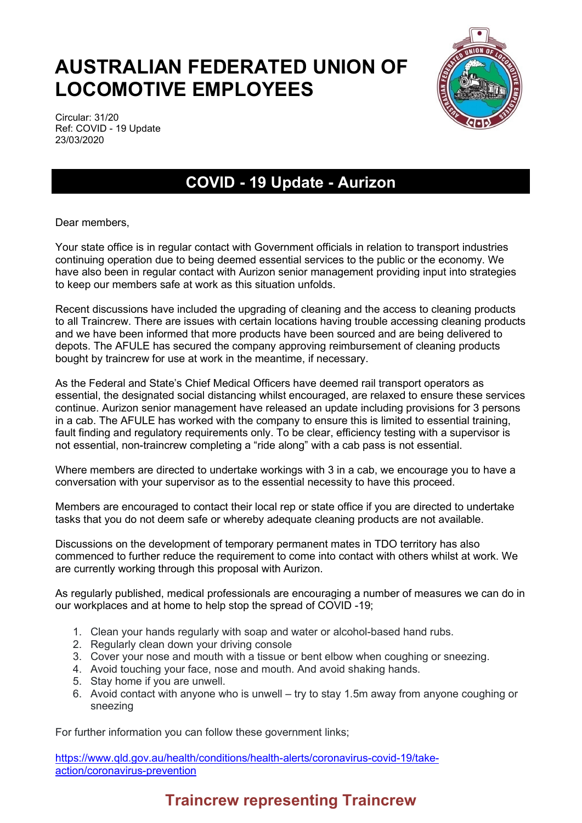## **AUSTRALIAN FEDERATED UNION OF LOCOMOTIVE EMPLOYEES**



Circular: 31/20 Ref: COVID - 19 Update 23/03/2020

## **COVID - 19 Update - Aurizon**

Dear members,

Your state office is in regular contact with Government officials in relation to transport industries continuing operation due to being deemed essential services to the public or the economy. We have also been in regular contact with Aurizon senior management providing input into strategies to keep our members safe at work as this situation unfolds.

Recent discussions have included the upgrading of cleaning and the access to cleaning products to all Traincrew. There are issues with certain locations having trouble accessing cleaning products and we have been informed that more products have been sourced and are being delivered to depots. The AFULE has secured the company approving reimbursement of cleaning products bought by traincrew for use at work in the meantime, if necessary.

As the Federal and State's Chief Medical Officers have deemed rail transport operators as essential, the designated social distancing whilst encouraged, are relaxed to ensure these services continue. Aurizon senior management have released an update including provisions for 3 persons in a cab. The AFULE has worked with the company to ensure this is limited to essential training, fault finding and regulatory requirements only. To be clear, efficiency testing with a supervisor is not essential, non-traincrew completing a "ride along" with a cab pass is not essential.

Where members are directed to undertake workings with 3 in a cab, we encourage you to have a conversation with your supervisor as to the essential necessity to have this proceed.

Members are encouraged to contact their local rep or state office if you are directed to undertake tasks that you do not deem safe or whereby adequate cleaning products are not available.

Discussions on the development of temporary permanent mates in TDO territory has also commenced to further reduce the requirement to come into contact with others whilst at work. We are currently working through this proposal with Aurizon.

As regularly published, medical professionals are encouraging a number of measures we can do in our workplaces and at home to help stop the spread of COVID -19;

- 1. Clean your hands regularly with soap and water or alcohol-based hand rubs.
- 2. Regularly clean down your driving console
- 3. Cover your nose and mouth with a tissue or bent elbow when coughing or sneezing.
- 4. Avoid touching your face, nose and mouth. And avoid shaking hands.
- 5. Stay home if you are unwell.
- 6. Avoid contact with anyone who is unwell try to stay 1.5m away from anyone coughing or sneezing

For further information you can follow these government links;

[https://www.qld.gov.au/health/conditions/health-alerts/coronavirus-covid-19/take](https://www.qld.gov.au/health/conditions/health-alerts/coronavirus-covid-19/take-action/coronavirus-prevention)[action/coronavirus-prevention](https://www.qld.gov.au/health/conditions/health-alerts/coronavirus-covid-19/take-action/coronavirus-prevention)

## **Traincrew representing Traincrew**